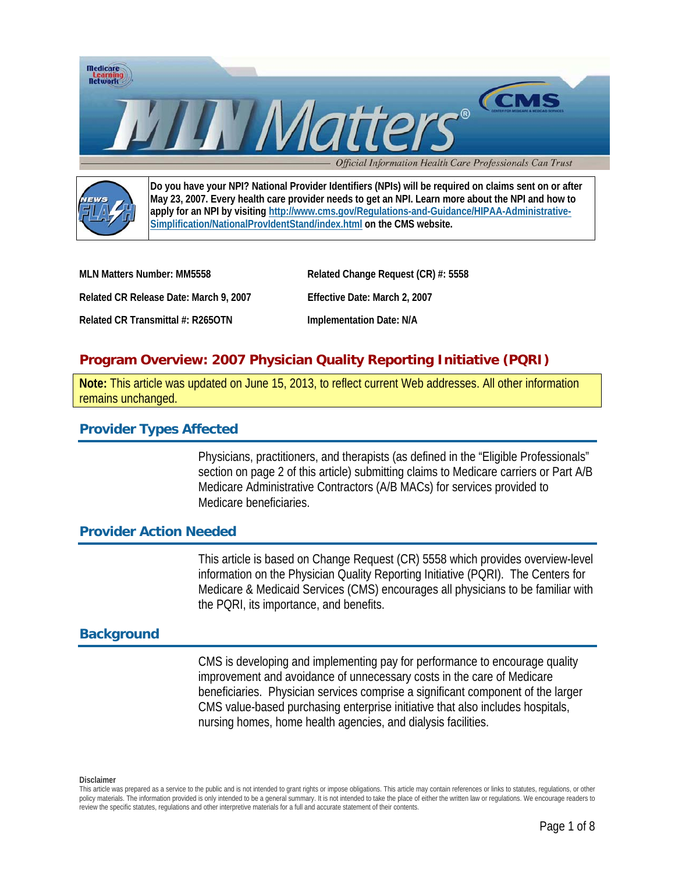



**Do you have your NPI? National Provider Identifiers (NPIs) will be required on claims sent on or after May 23, 2007. Every health care provider needs to get an NPI. Learn more about the NPI and how to apply for an NPI by visiting http://www.cms.gov/Regulations-and-Guidance/HIPAA-Administrative-Simplification/NationalProvIdentStand/index.html on the CMS website.**

| MLN Matters Number: MM5558             | Related Change Request (CR) #: 5558 |
|----------------------------------------|-------------------------------------|
| Related CR Release Date: March 9, 2007 | Effective Date: March 2, 2007       |
| Related CR Transmittal #: R265OTN      | Implementation Date: N/A            |

# **Program Overview: 2007 Physician Quality Reporting Initiative (PQRI)**

**Note:** This article was updated on June 15, 2013, to reflect current Web addresses. All other information remains unchanged.

# **Provider Types Affected**

Physicians, practitioners, and therapists (as defined in the "Eligible Professionals" section on page 2 of this article) submitting claims to Medicare carriers or Part A/B Medicare Administrative Contractors (A/B MACs) for services provided to Medicare beneficiaries.

## **Provider Action Needed**

This article is based on Change Request (CR) 5558 which provides overview-level information on the Physician Quality Reporting Initiative (PQRI). The Centers for Medicare & Medicaid Services (CMS) encourages all physicians to be familiar with the PQRI, its importance, and benefits.

# **Background**

CMS is developing and implementing pay for performance to encourage quality improvement and avoidance of unnecessary costs in the care of Medicare beneficiaries. Physician services comprise a significant component of the larger CMS value-based purchasing enterprise initiative that also includes hospitals, nursing homes, home health agencies, and dialysis facilities.

This article was prepared as a service to the public and is not intended to grant rights or impose obligations. This article may contain references or links to statutes, regulations, or other policy materials. The information provided is only intended to be a general summary. It is not intended to take the place of either the written law or regulations. We encourage readers to review the specific statutes, regulations and other interpretive materials for a full and accurate statement of their contents.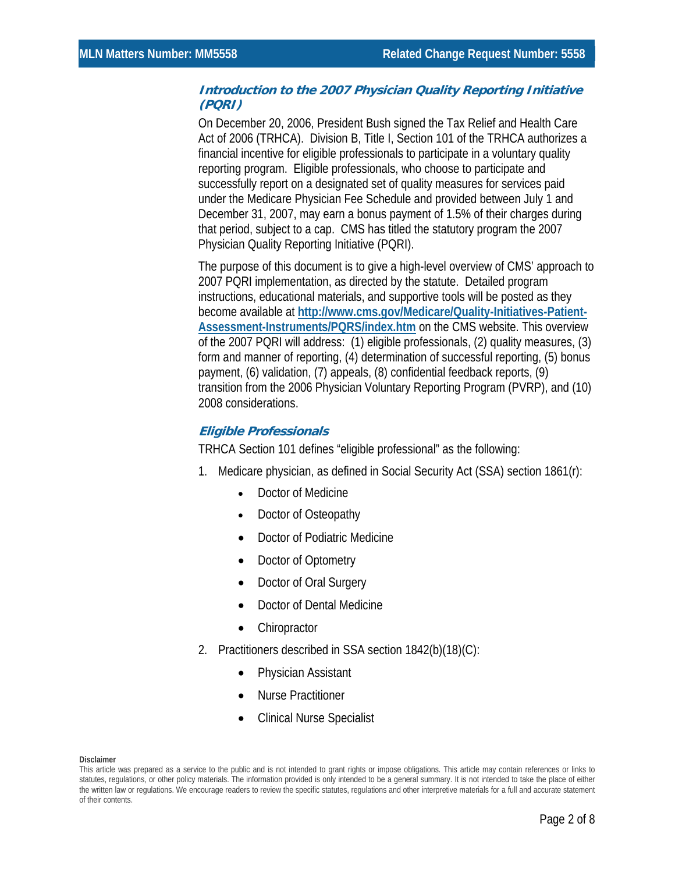### **Introduction to the 2007 Physician Quality Reporting Initiative (PQRI)**

On December 20, 2006, President Bush signed the Tax Relief and Health Care Act of 2006 (TRHCA). Division B, Title I, Section 101 of the TRHCA authorizes a financial incentive for eligible professionals to participate in a voluntary quality reporting program. Eligible professionals, who choose to participate and successfully report on a designated set of quality measures for services paid under the Medicare Physician Fee Schedule and provided between July 1 and December 31, 2007, may earn a bonus payment of 1.5% of their charges during that period, subject to a cap. CMS has titled the statutory program the 2007 Physician Quality Reporting Initiative (PQRI).

The purpose of this document is to give a high-level overview of CMS' approach to 2007 PQRI implementation, as directed by the statute. Detailed program instructions, educational materials, and supportive tools will be posted as they become available at **[http://www.cms.gov/Medicare/Quality-Initiatives-Patient-](http://www.cms.gov/Medicare/Quality-Initiatives-Patient-Assessment-Instruments/PQRS/index.htm)[Assessment-Instruments/PQRS/index.htm](http://www.cms.gov/Medicare/Quality-Initiatives-Patient-Assessment-Instruments/PQRS/index.htm)** on the CMS website. This overview of the 2007 PQRI will address: (1) eligible professionals, (2) quality measures, (3) form and manner of reporting, (4) determination of successful reporting, (5) bonus payment, (6) validation, (7) appeals, (8) confidential feedback reports, (9) transition from the 2006 Physician Voluntary Reporting Program (PVRP), and (10) 2008 considerations.

## **Eligible Professionals**

TRHCA Section 101 defines "eligible professional" as the following:

- 1. Medicare physician, as defined in Social Security Act (SSA) section 1861(r):
	- Doctor of Medicine
	- Doctor of Osteopathy
	- Doctor of Podiatric Medicine
	- Doctor of Optometry
	- Doctor of Oral Surgery
	- Doctor of Dental Medicine
	- Chiropractor
- 2. Practitioners described in SSA section 1842(b)(18)(C):
	- Physician Assistant
	- Nurse Practitioner
	- Clinical Nurse Specialist

This article was prepared as a service to the public and is not intended to grant rights or impose obligations. This article may contain references or links to statutes, regulations, or other policy materials. The information provided is only intended to be a general summary. It is not intended to take the place of either the written law or regulations. We encourage readers to review the specific statutes, regulations and other interpretive materials for a full and accurate statement of their contents.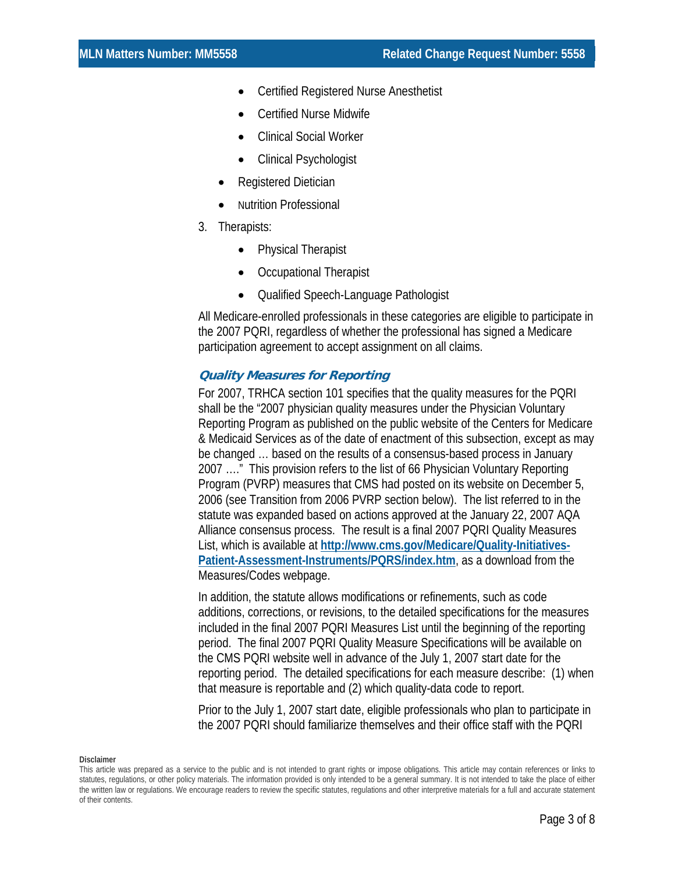- Certified Registered Nurse Anesthetist
- Certified Nurse Midwife
- Clinical Social Worker
- Clinical Psychologist
- Registered Dietician
- Nutrition Professional
- 3. Therapists:
	- Physical Therapist
	- Occupational Therapist
	- Qualified Speech-Language Pathologist

All Medicare-enrolled professionals in these categories are eligible to participate in the 2007 PQRI, regardless of whether the professional has signed a Medicare participation agreement to accept assignment on all claims.

## **Quality Measures for Reporting**

For 2007, TRHCA section 101 specifies that the quality measures for the PQRI shall be the "2007 physician quality measures under the Physician Voluntary Reporting Program as published on the public website of the Centers for Medicare & Medicaid Services as of the date of enactment of this subsection, except as may be changed … based on the results of a consensus-based process in January 2007 …." This provision refers to the list of 66 Physician Voluntary Reporting Program (PVRP) measures that CMS had posted on its website on December 5, 2006 (see Transition from 2006 PVRP section below). The list referred to in the statute was expanded based on actions approved at the January 22, 2007 AQA Alliance consensus process. The result is a final 2007 PQRI Quality Measures List, which is available at **http://www.cms.gov/Medicare/Quality-Initiatives-Patient-Assessment-Instruments/PQRS/index.htm**, as a download from the Measures/Codes webpage.

In addition, the statute allows modifications or refinements, such as code additions, corrections, or revisions, to the detailed specifications for the measures included in the final 2007 PQRI Measures List until the beginning of the reporting period. The final 2007 PQRI Quality Measure Specifications will be available on the CMS PQRI website well in advance of the July 1, 2007 start date for the reporting period. The detailed specifications for each measure describe: (1) when that measure is reportable and (2) which quality-data code to report.

Prior to the July 1, 2007 start date, eligible professionals who plan to participate in the 2007 PQRI should familiarize themselves and their office staff with the PQRI

This article was prepared as a service to the public and is not intended to grant rights or impose obligations. This article may contain references or links to statutes, regulations, or other policy materials. The information provided is only intended to be a general summary. It is not intended to take the place of either the written law or regulations. We encourage readers to review the specific statutes, regulations and other interpretive materials for a full and accurate statement of their contents.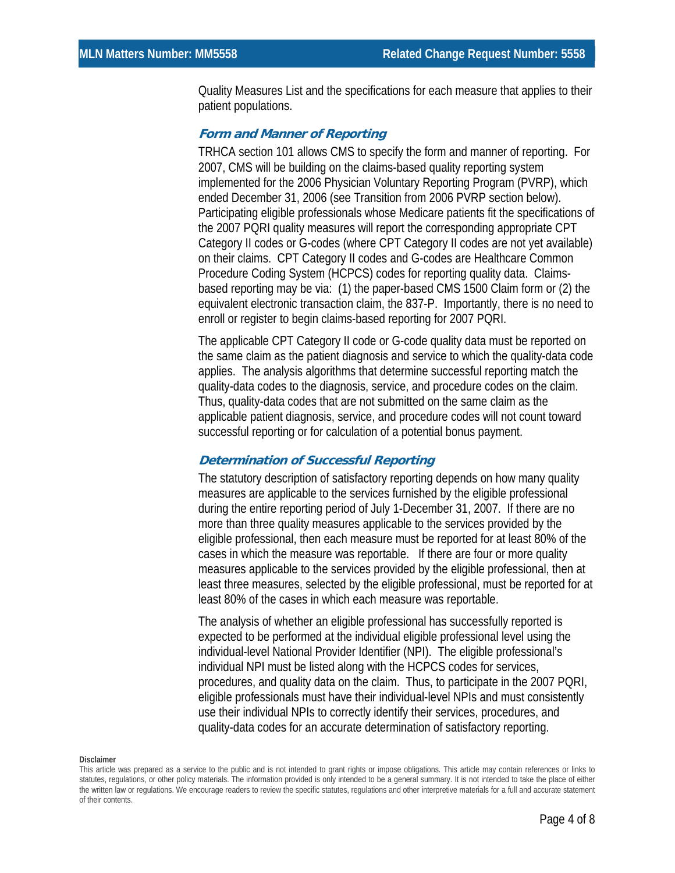Quality Measures List and the specifications for each measure that applies to their patient populations.

### **Form and Manner of Reporting**

TRHCA section 101 allows CMS to specify the form and manner of reporting. For 2007, CMS will be building on the claims-based quality reporting system implemented for the 2006 Physician Voluntary Reporting Program (PVRP), which ended December 31, 2006 (see Transition from 2006 PVRP section below). Participating eligible professionals whose Medicare patients fit the specifications of the 2007 PQRI quality measures will report the corresponding appropriate CPT Category II codes or G-codes (where CPT Category II codes are not yet available) on their claims. CPT Category II codes and G-codes are Healthcare Common Procedure Coding System (HCPCS) codes for reporting quality data. Claimsbased reporting may be via: (1) the paper-based CMS 1500 Claim form or (2) the equivalent electronic transaction claim, the 837-P. Importantly, there is no need to enroll or register to begin claims-based reporting for 2007 PQRI.

The applicable CPT Category II code or G-code quality data must be reported on the same claim as the patient diagnosis and service to which the quality-data code applies. The analysis algorithms that determine successful reporting match the quality-data codes to the diagnosis, service, and procedure codes on the claim. Thus, quality-data codes that are not submitted on the same claim as the applicable patient diagnosis, service, and procedure codes will not count toward successful reporting or for calculation of a potential bonus payment.

### **Determination of Successful Reporting**

The statutory description of satisfactory reporting depends on how many quality measures are applicable to the services furnished by the eligible professional during the entire reporting period of July 1-December 31, 2007. If there are no more than three quality measures applicable to the services provided by the eligible professional, then each measure must be reported for at least 80% of the cases in which the measure was reportable. If there are four or more quality measures applicable to the services provided by the eligible professional, then at least three measures, selected by the eligible professional, must be reported for at least 80% of the cases in which each measure was reportable.

The analysis of whether an eligible professional has successfully reported is expected to be performed at the individual eligible professional level using the individual-level National Provider Identifier (NPI). The eligible professional's individual NPI must be listed along with the HCPCS codes for services, procedures, and quality data on the claim. Thus, to participate in the 2007 PQRI, eligible professionals must have their individual-level NPIs and must consistently use their individual NPIs to correctly identify their services, procedures, and quality-data codes for an accurate determination of satisfactory reporting.

This article was prepared as a service to the public and is not intended to grant rights or impose obligations. This article may contain references or links to statutes, regulations, or other policy materials. The information provided is only intended to be a general summary. It is not intended to take the place of either the written law or regulations. We encourage readers to review the specific statutes, regulations and other interpretive materials for a full and accurate statement of their contents.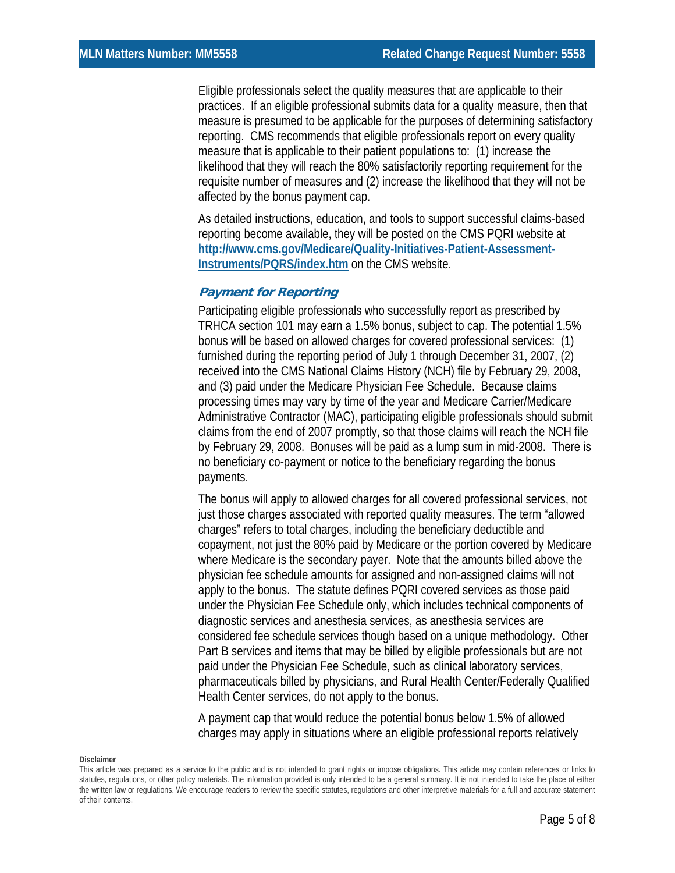Eligible professionals select the quality measures that are applicable to their practices. If an eligible professional submits data for a quality measure, then that measure is presumed to be applicable for the purposes of determining satisfactory reporting. CMS recommends that eligible professionals report on every quality measure that is applicable to their patient populations to: (1) increase the likelihood that they will reach the 80% satisfactorily reporting requirement for the requisite number of measures and (2) increase the likelihood that they will not be affected by the bonus payment cap.

As detailed instructions, education, and tools to support successful claims-based reporting become available, they will be posted on the CMS PQRI website at **[http://www.cms.gov/Medicare/Quality-Initiatives-Patient-Assessment-](http://www.cms.gov/Medicare/Quality-Initiatives-Patient-Assessment-Instruments/PQRS/index.htm)[Instruments/PQRS/index.htm](http://www.cms.gov/Medicare/Quality-Initiatives-Patient-Assessment-Instruments/PQRS/index.htm)** on the CMS website.

### **Payment for Reporting**

Participating eligible professionals who successfully report as prescribed by TRHCA section 101 may earn a 1.5% bonus, subject to cap. The potential 1.5% bonus will be based on allowed charges for covered professional services: (1) furnished during the reporting period of July 1 through December 31, 2007, (2) received into the CMS National Claims History (NCH) file by February 29, 2008, and (3) paid under the Medicare Physician Fee Schedule. Because claims processing times may vary by time of the year and Medicare Carrier/Medicare Administrative Contractor (MAC), participating eligible professionals should submit claims from the end of 2007 promptly, so that those claims will reach the NCH file by February 29, 2008. Bonuses will be paid as a lump sum in mid-2008. There is no beneficiary co-payment or notice to the beneficiary regarding the bonus payments.

The bonus will apply to allowed charges for all covered professional services, not just those charges associated with reported quality measures. The term "allowed charges" refers to total charges, including the beneficiary deductible and copayment, not just the 80% paid by Medicare or the portion covered by Medicare where Medicare is the secondary payer. Note that the amounts billed above the physician fee schedule amounts for assigned and non-assigned claims will not apply to the bonus. The statute defines PQRI covered services as those paid under the Physician Fee Schedule only, which includes technical components of diagnostic services and anesthesia services, as anesthesia services are considered fee schedule services though based on a unique methodology. Other Part B services and items that may be billed by eligible professionals but are not paid under the Physician Fee Schedule, such as clinical laboratory services, pharmaceuticals billed by physicians, and Rural Health Center/Federally Qualified Health Center services, do not apply to the bonus.

A payment cap that would reduce the potential bonus below 1.5% of allowed charges may apply in situations where an eligible professional reports relatively

This article was prepared as a service to the public and is not intended to grant rights or impose obligations. This article may contain references or links to statutes, regulations, or other policy materials. The information provided is only intended to be a general summary. It is not intended to take the place of either the written law or regulations. We encourage readers to review the specific statutes, regulations and other interpretive materials for a full and accurate statement of their contents.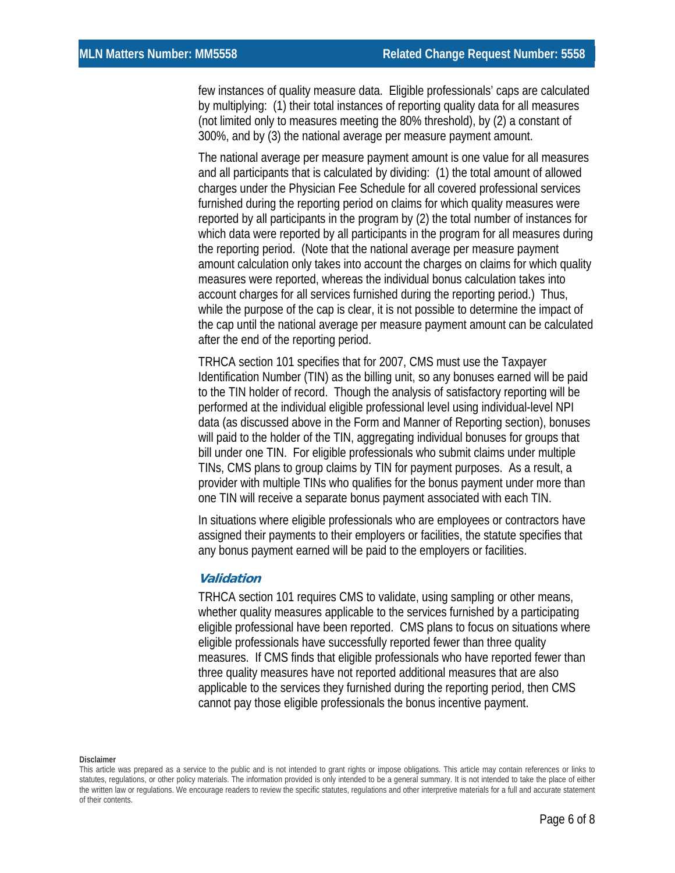few instances of quality measure data. Eligible professionals' caps are calculated by multiplying: (1) their total instances of reporting quality data for all measures (not limited only to measures meeting the 80% threshold), by (2) a constant of 300%, and by (3) the national average per measure payment amount.

The national average per measure payment amount is one value for all measures and all participants that is calculated by dividing: (1) the total amount of allowed charges under the Physician Fee Schedule for all covered professional services furnished during the reporting period on claims for which quality measures were reported by all participants in the program by (2) the total number of instances for which data were reported by all participants in the program for all measures during the reporting period. (Note that the national average per measure payment amount calculation only takes into account the charges on claims for which quality measures were reported, whereas the individual bonus calculation takes into account charges for all services furnished during the reporting period.) Thus, while the purpose of the cap is clear, it is not possible to determine the impact of the cap until the national average per measure payment amount can be calculated after the end of the reporting period.

TRHCA section 101 specifies that for 2007, CMS must use the Taxpayer Identification Number (TIN) as the billing unit, so any bonuses earned will be paid to the TIN holder of record. Though the analysis of satisfactory reporting will be performed at the individual eligible professional level using individual-level NPI data (as discussed above in the Form and Manner of Reporting section), bonuses will paid to the holder of the TIN, aggregating individual bonuses for groups that bill under one TIN. For eligible professionals who submit claims under multiple TINs, CMS plans to group claims by TIN for payment purposes. As a result, a provider with multiple TINs who qualifies for the bonus payment under more than one TIN will receive a separate bonus payment associated with each TIN.

In situations where eligible professionals who are employees or contractors have assigned their payments to their employers or facilities, the statute specifies that any bonus payment earned will be paid to the employers or facilities.

## **Validation**

TRHCA section 101 requires CMS to validate, using sampling or other means, whether quality measures applicable to the services furnished by a participating eligible professional have been reported. CMS plans to focus on situations where eligible professionals have successfully reported fewer than three quality measures. If CMS finds that eligible professionals who have reported fewer than three quality measures have not reported additional measures that are also applicable to the services they furnished during the reporting period, then CMS cannot pay those eligible professionals the bonus incentive payment.

This article was prepared as a service to the public and is not intended to grant rights or impose obligations. This article may contain references or links to statutes, regulations, or other policy materials. The information provided is only intended to be a general summary. It is not intended to take the place of either the written law or regulations. We encourage readers to review the specific statutes, regulations and other interpretive materials for a full and accurate statement of their contents.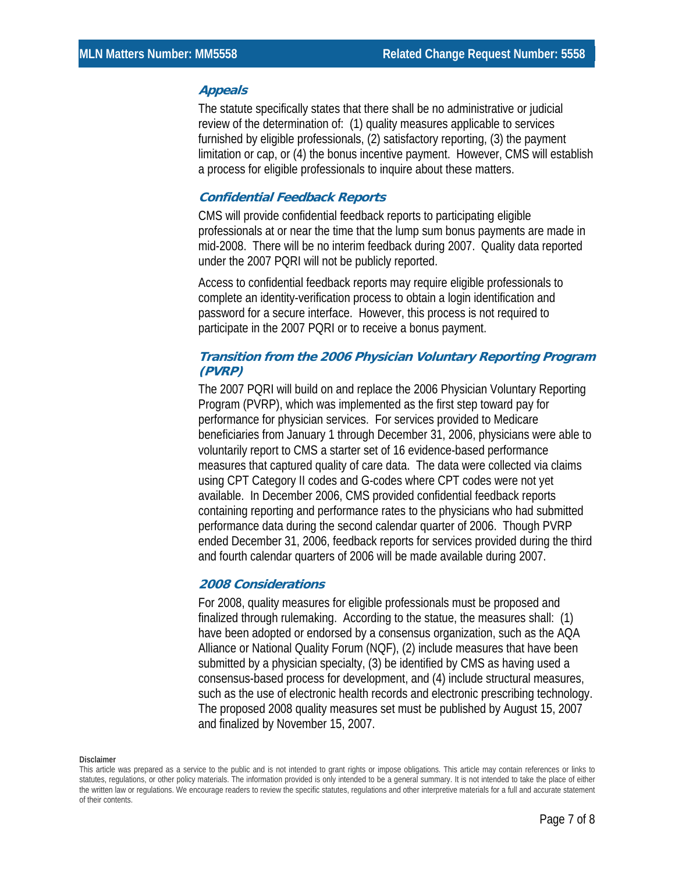### **Appeals**

The statute specifically states that there shall be no administrative or judicial review of the determination of: (1) quality measures applicable to services furnished by eligible professionals, (2) satisfactory reporting, (3) the payment limitation or cap, or (4) the bonus incentive payment. However, CMS will establish a process for eligible professionals to inquire about these matters.

## **Confidential Feedback Reports**

CMS will provide confidential feedback reports to participating eligible professionals at or near the time that the lump sum bonus payments are made in mid-2008. There will be no interim feedback during 2007. Quality data reported under the 2007 PQRI will not be publicly reported.

Access to confidential feedback reports may require eligible professionals to complete an identity-verification process to obtain a login identification and password for a secure interface. However, this process is not required to participate in the 2007 PQRI or to receive a bonus payment.

# **Transition from the 2006 Physician Voluntary Reporting Program (PVRP)**

The 2007 PQRI will build on and replace the 2006 Physician Voluntary Reporting Program (PVRP), which was implemented as the first step toward pay for performance for physician services. For services provided to Medicare beneficiaries from January 1 through December 31, 2006, physicians were able to voluntarily report to CMS a starter set of 16 evidence-based performance measures that captured quality of care data. The data were collected via claims using CPT Category II codes and G-codes where CPT codes were not yet available. In December 2006, CMS provided confidential feedback reports containing reporting and performance rates to the physicians who had submitted performance data during the second calendar quarter of 2006. Though PVRP ended December 31, 2006, feedback reports for services provided during the third and fourth calendar quarters of 2006 will be made available during 2007.

## **2008 Considerations**

For 2008, quality measures for eligible professionals must be proposed and finalized through rulemaking. According to the statue, the measures shall: (1) have been adopted or endorsed by a consensus organization, such as the AQA Alliance or National Quality Forum (NQF), (2) include measures that have been submitted by a physician specialty, (3) be identified by CMS as having used a consensus-based process for development, and (4) include structural measures, such as the use of electronic health records and electronic prescribing technology. The proposed 2008 quality measures set must be published by August 15, 2007 and finalized by November 15, 2007.

This article was prepared as a service to the public and is not intended to grant rights or impose obligations. This article may contain references or links to statutes, regulations, or other policy materials. The information provided is only intended to be a general summary. It is not intended to take the place of either the written law or regulations. We encourage readers to review the specific statutes, regulations and other interpretive materials for a full and accurate statement of their contents.